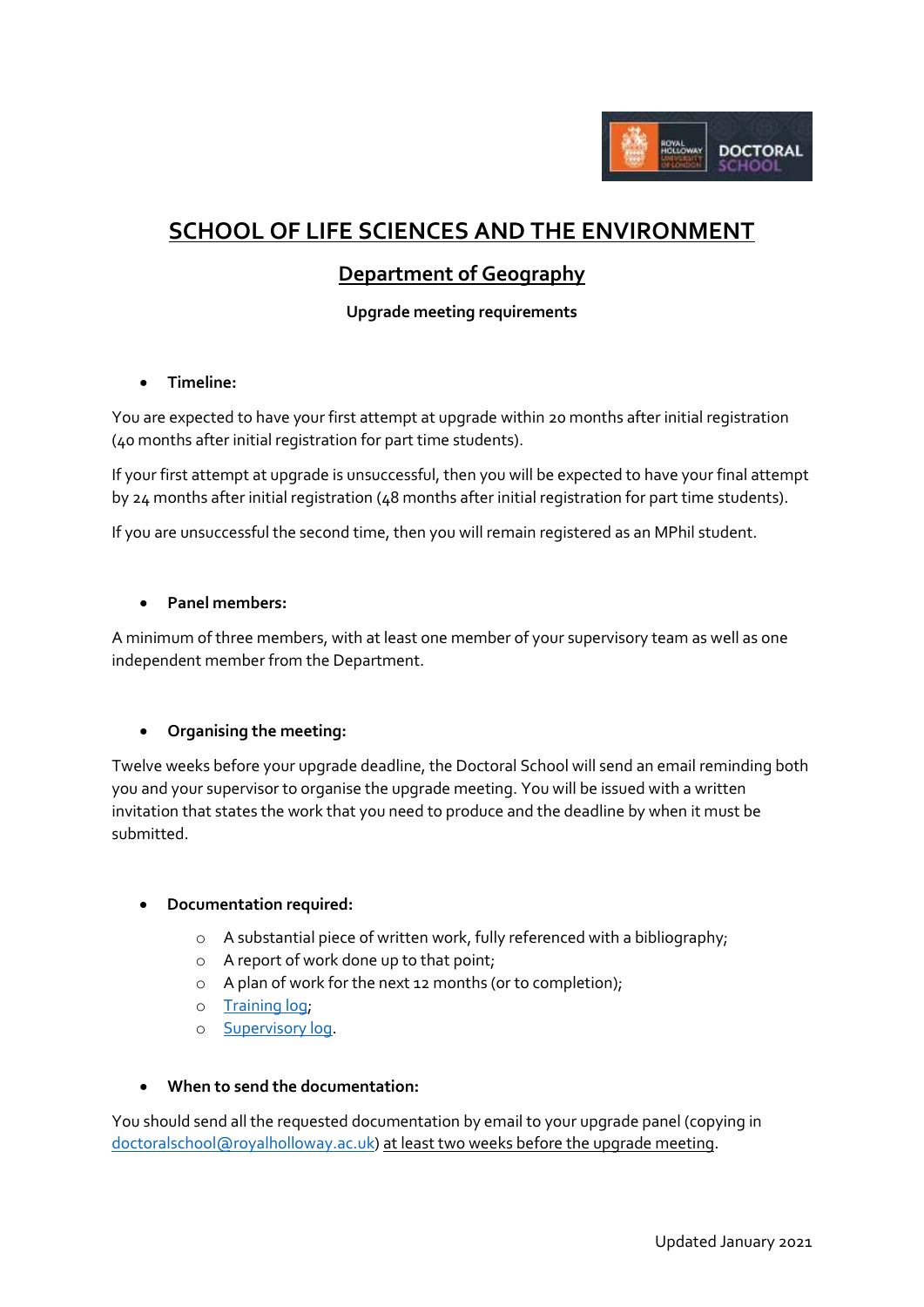

# **SCHOOL OF LIFE SCIENCES AND THE ENVIRONMENT**

## **Department of Geography**

**Upgrade meeting requirements**

**Timeline:**

You are expected to have your first attempt at upgrade within 20 months after initial registration (40 months after initial registration for part time students).

If your first attempt at upgrade is unsuccessful, then you will be expected to have your final attempt by 24 months after initial registration (48 months after initial registration for part time students).

If you are unsuccessful the second time, then you will remain registered as an MPhil student.

#### **Panel members:**

A minimum of three members, with at least one member of your supervisory team as well as one independent member from the Department.

#### **Organising the meeting:**

Twelve weeks before your upgrade deadline, the Doctoral School will send an email reminding both you and your supervisor to organise the upgrade meeting. You will be issued with a written invitation that states the work that you need to produce and the deadline by when it must be submitted.

#### **Documentation required:**

- o A substantial piece of written work, fully referenced with a bibliography;
- o A report of work done up to that point;
- o A plan of work for the next 12 months (or to completion);
- o [Training log;](https://intranet.royalholloway.ac.uk/doctoral-school/assets/docs/doc/new-research-log.docx)
- o [Supervisory log.](https://intranet.royalholloway.ac.uk/doctoral-school/assets/docs/doc/pgr-record-of-supervisor-contacts.docx)
- **When to send the documentation:**

You should send all the requested documentation by email to your upgrade panel (copying in [doctoralschool@royalholloway.ac.uk\)](mailto:doctoralschool@royalholloway.ac.uk) at least two weeks before the upgrade meeting.